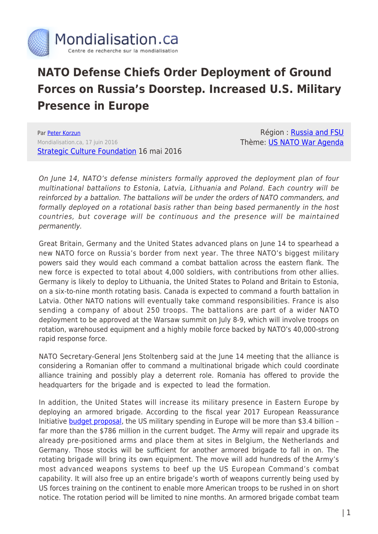

## **NATO Defense Chiefs Order Deployment of Ground Forces on Russia's Doorstep. Increased U.S. Military Presence in Europe**

Par [Peter Korzun](https://www.mondialisation.ca/author/peter-korzun) Mondialisation.ca, 17 juin 2016 **[Strategic Culture Foundation](http://www.strategic-culture.org/news/2016/06/16/nato-defense-chiefs-okay-boosting-ground-forces-presence-near-russia-borders.html) 16 mai 2016** 

Région : [Russia and FSU](https://www.mondialisation.ca/region/russia-and-fsu) Thème: [US NATO War Agenda](https://www.mondialisation.ca/theme/us-nato-war-agenda)

On June 14, NATO's defense ministers formally approved the deployment plan of four multinational battalions to Estonia, Latvia, Lithuania and Poland. Each country will be reinforced by a battalion. The battalions will be under the orders of NATO commanders, and formally deployed on a rotational basis rather than being based permanently in the host countries, but coverage will be continuous and the presence will be maintained permanently.

Great Britain, Germany and the United States advanced plans on June 14 to spearhead a new NATO force on Russia's border from next year. The three NATO's biggest military powers said they would each command a combat battalion across the eastern flank. The new force is expected to total about 4,000 soldiers, with contributions from other allies. Germany is likely to deploy to Lithuania, the United States to Poland and Britain to Estonia, on a six-to-nine month rotating basis. Canada is expected to command a fourth battalion in Latvia. Other NATO nations will eventually take command responsibilities. France is also sending a company of about 250 troops. The battalions are part of a wider NATO deployment to be approved at the Warsaw summit on July 8-9, which will involve troops on rotation, warehoused equipment and a highly mobile force backed by NATO's 40,000-strong rapid response force.

NATO Secretary-General Jens Stoltenberg said at the June 14 meeting that the alliance is considering a Romanian offer to command a multinational brigade which could coordinate alliance training and possibly play a deterrent role. Romania has offered to provide the headquarters for the brigade and is expected to lead the formation.

In addition, the United States will increase its military presence in Eastern Europe by deploying an armored brigade. According to the fiscal year 2017 European Reassurance Initiative **budget proposal**, the US military spending in Europe will be more than \$3.4 billion far more than the \$786 million in the current budget. The Army will repair and upgrade its already pre-positioned arms and place them at sites in Belgium, the Netherlands and Germany. Those stocks will be sufficient for another armored brigade to fall in on. The rotating brigade will bring its own equipment. The move will add hundreds of the Army's most advanced weapons systems to beef up the US European Command's combat capability. It will also free up an entire brigade's worth of weapons currently being used by US forces training on the continent to enable more American troops to be rushed in on short notice. The rotation period will be limited to nine months. An armored brigade combat team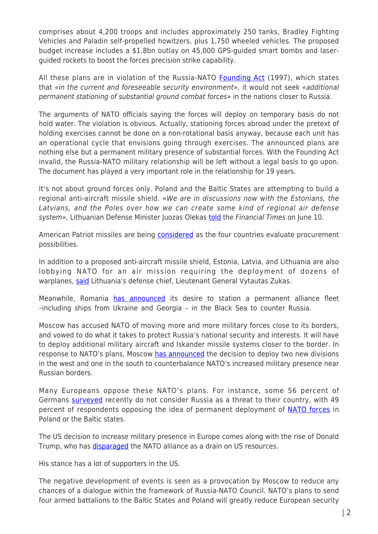comprises about 4,200 troops and includes approximately 250 tanks, Bradley Fighting Vehicles and Paladin self-propelled howitzers, plus 1,750 wheeled vehicles. The proposed budget increase includes a \$1.8bn outlay on 45,000 GPS-guided smart bombs and laserguided rockets to boost the forces precision strike capability.

All these plans are in violation of the Russia-NATO [Founding Act](http://www.nato.int/cps/en/natohq/official_texts_25468.htm) (1997), which states that «in the current and foreseeable security environment», it would not seek «additional permanent stationing of substantial ground combat forces» in the nations closer to Russia.

The arguments of NATO officials saying the forces will deploy on temporary basis do not hold water. The violation is obvious. Actually, stationing forces abroad under the pretext of holding exercises cannot be done on a non-rotational basis anyway, because each unit has an operational cycle that envisions going through exercises. The announced plans are nothing else but a permanent military presence of substantial forces. With the Founding Act invalid, the Russia-NATO military relationship will be left without a legal basis to go upon. The document has played a very important role in the relationship for 19 years.

It's not about ground forces only. Poland and the Baltic States are attempting to build a regional anti-aircraft missile shield. «We are in discussions now with the Estonians, the Latvians, and the Poles over how we can create some kind of regional air defense system», Lithuanian Defense Minister Juozas Olekas [told](https://next.ft.com/content/7329eeb6-3091-11e6-bda0-04585c31b153#axzz4BRbG93hH) the Financial Times on June 10.

American Patriot missiles are being [considered](http://www.reuters.com/article/us-poland-defence-tenders-idUSKCN0VK1PG) as the four countries evaluate procurement possibilities.

In addition to a proposed anti-aircraft missile shield, Estonia, Latvia, and Lithuania are also lobbying NATO for an air mission requiring the deployment of dozens of warplanes, [said](https://next.ft.com/content/7329eeb6-3091-11e6-bda0-04585c31b153) Lithuania's defense chief, Lieutenant General Vytautas Zukas.

Meanwhile, Romania [has announced](http://sputniknews.com/military/20160407/1037661073/romania-black-sea-nato-initiative-analysis.html) its desire to station a permanent alliance fleet –including ships from Ukraine and Georgia – in the Black Sea to counter Russia.

Moscow has accused NATO of moving more and more military forces close to its borders, and vowed to do what it takes to protect Russia's national security and interests. It will have to deploy additional military aircraft and Iskander missile systems closer to the border. In response to NATO's plans, Moscow [has announced](https://www.rt.com/news/341756-russia-divisions-nato-threat/) the decision to deploy two new divisions in the west and one in the south to counterbalance NATO's increased military presence near Russian borders.

Many Europeans oppose these NATO's plans. For instance, some 56 percent of Germans [surveyed](http://sputniknews.com/military/20160426/1038635910/half-germany-oppose-NATO-deployment-Baltic.html) recently do not consider Russia as a threat to their country, with 49 percent of respondents opposing the idea of permanent deployment of **NATO forces** in Poland or the Baltic states.

The US decision to increase military presence in Europe comes along with the rise of Donald Trump, who has [disparaged](http://www.nytimes.com/politics/first-draft/2016/04/02/donald-trump-tells-crowd-hed-be-fine-if-nato-broke-up/) the NATO alliance as a drain on US resources.

His stance has a lot of supporters in the US.

The negative development of events is seen as a provocation by Moscow to reduce any chances of a dialogue within the framework of Russia-NATO Council. NATO's plans to send four armed battalions to the Baltic States and Poland will greatly reduce European security